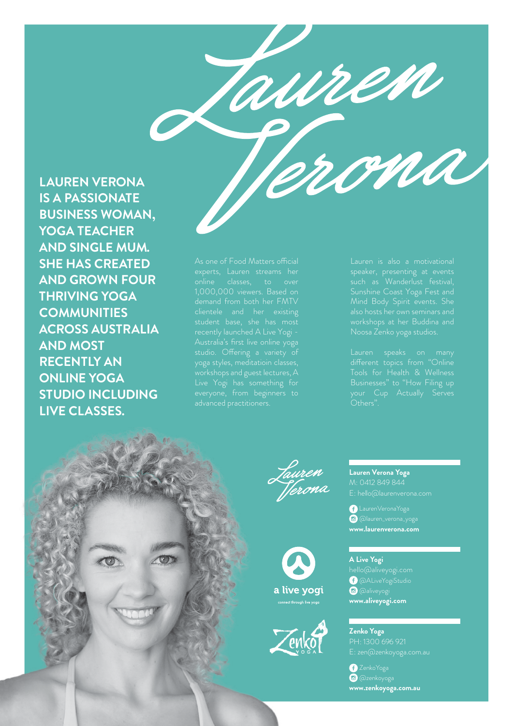

**LAUREN VERONA IS A PASSIONATE BUSINESS WOMAN, YOGA TEACHER AND SINGLE MUM. SHE HAS CREATED AND GROWN FOUR THRIVING YOGA COMMUNITIES ACROSS AUSTRALIA AND MOST RECENTLY AN ONLINE YOGA STUDIO INCLUDING LIVE CLASSES.** 

1,000,000 viewers. Based on clientele and her existing studio. Offering a variety of everyone, from beginners to workshops at her Buddina and

Businesses" to "How Filing up Others".









**Lauren Verona Yoga** M: 0412 849 844 E: hello@laurenverona.com

 LaurenVeronaYoga @lauren\_verona\_yoga **www.laurenverona.com**

**A Live Yogi** @ALiveYogiStudio  $\bullet$  @aliveyogi **www.aliveyogi.com**

**Zenko Yoga**  PH: 1300 696 921

*D* ZenkoYoga @zenkoyoga **www.zenkoyoga.com.au**